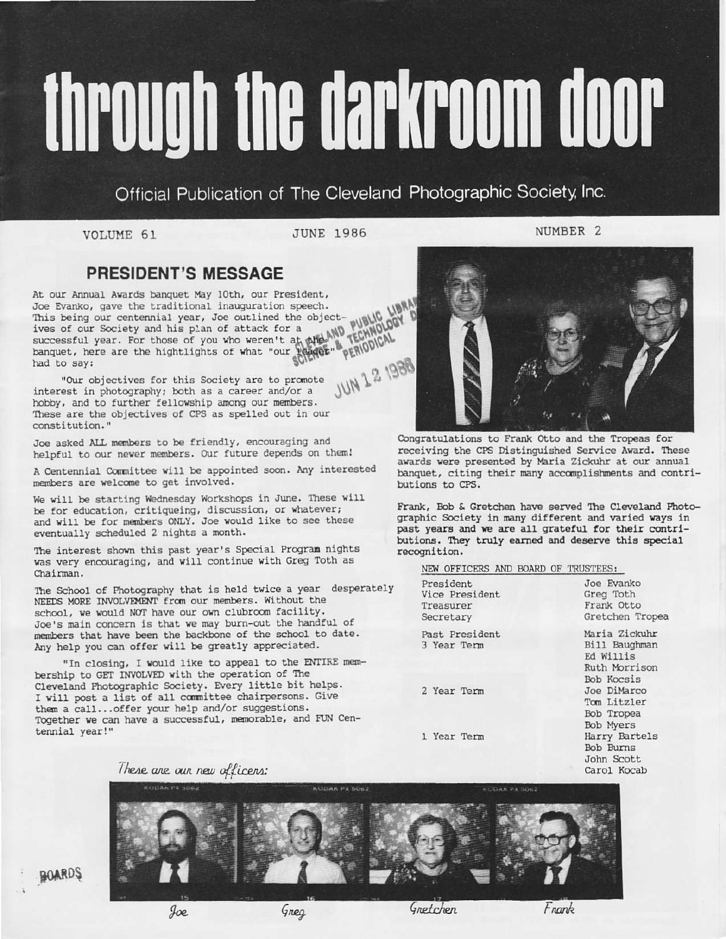# through the darkroom door

Official Publication of The Cleveland Photographic Society, Inc.

VOLUME 61

**JUNE 1986** 

# NUMBER<sub>2</sub>

# **PRESIDENT'S MESSAGE**

At our Annual Awards banquet May 10th, our President, Joe Evanko, gave the traditional inauguration speech. successful year. For those of you who weren't at other AND recently hand to say: This being our centennial year, Joe outlined the object-**JUN 1 2 1988** had to say:

"Our objectives for this Society are to promote interest in photography; both as a career and/or a hobby, and to further fellowship among our members. These are the objectives of CPS as spelled out in our constitution."

Joe asked ALL members to be friendly, encouraging and helpful to our newer members. Our future depends on them!

A Centennial Committee will be appointed soon. Any interested members are welcome to get involved.

We will be starting Wednesday Workshops in June. These will be for education, critiqueing, discussion, or whatever; and will be for members ONLY. Joe would like to see these eventually scheduled 2 nights a month.

The interest shown this past year's Special Program nights was very encouraging, and will continue with Greg Toth as Chairman.

The School of Photography that is held twice a year desperately NEEDS MORE INVOLVEMENT from our members. Without the school, we would NOT have our own clubroom facility. Joe's main concern is that we may burn-out the handful of members that have been the backbone of the school to date. Any help you can offer will be greatly appreciated.

"In closing, I would like to appeal to the ENTIRE membership to GET INVOLVED with the operation of The Cleveland Photographic Society. Every little bit helps. I will post a list of all committee chairpersons. Give them a call... offer your help and/or suggestions. Together we can have a successful, memorable, and FUN Centennial year!"

Congratulations to Frank Otto and the Tropeas for receiving the CPS Distinguished Service Award. These awards were presented by Maria Zickuhr at our annual banquet, citing their many accomplishments and contributions to CPS.

Frank, Bob & Gretchen have served The Cleveland Photographic Society in many different and varied ways in past years and we are all grateful for their contributions. They truly earned and deserve this special recognition.

ropea

uhr

els

Carol Kocab

NEW OFFICERS AND BOARD OF TRUSTEES:

| President<br>Vice President   | Joe Evanko<br>Greg Toth                                      |
|-------------------------------|--------------------------------------------------------------|
| Treasurer<br>Secretary        | Frank Otto<br>Gretchen Trop                                  |
| Past President<br>3 Year Term | Maria Zickuhr<br>Bill Baughman<br>Ed Willis<br>Ruth Morrison |
| 2 Year Term                   | Bob Kocsis<br>Joe DiMarco<br>Tom Litzler<br>Bob Tropea       |
| 1 Year Term                   | Bob Myers<br>Harry Bartels<br>Bob Burns<br>John Scott        |

These are our new officers:



**BOARDS** 

 $90e$ 

Greg

Gretchen

Frank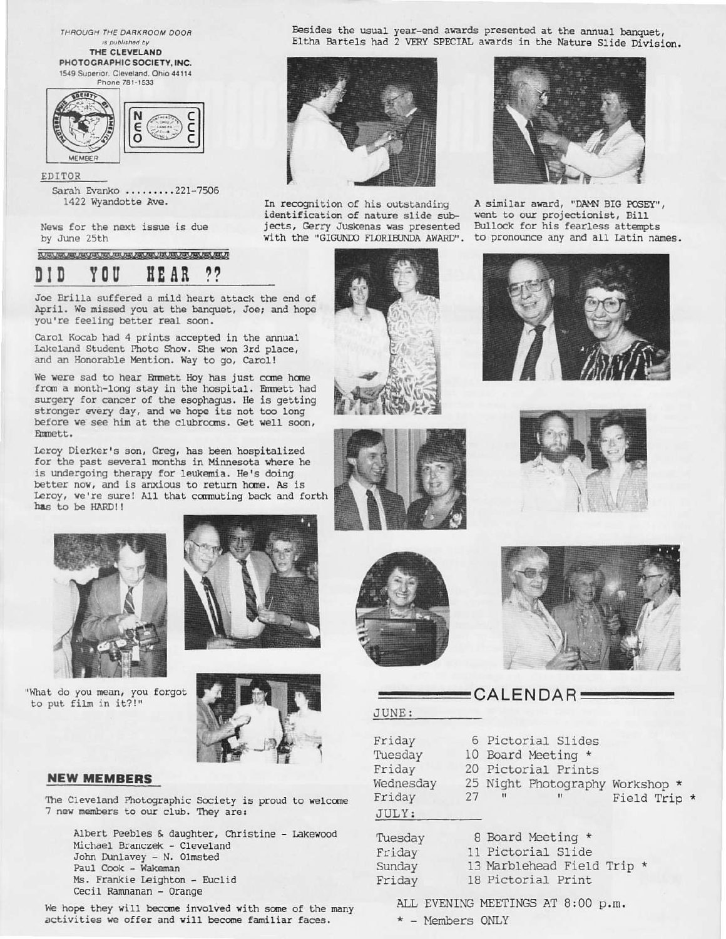THROUGH THE DARKROOM DOOR is published by THE CLEVELAND

PHOTOGRAPHIC SOCIETY, INC. 1549 Superior, Cleveland, Ohio 44114



EDITOR Sarah Evanko ........221-7506 1422 Wyandotte Ave.

News for the next issue is due by June 25th

### TO SHOW ON ON OUR RECORD ON AN OUR OUR ORDER ON OUR ART OF ם ז ם y o u HE AR

Joe Brilla suffered a mild heart attack the end of April. We missed you at the banquet, Joe; and hope you're feeling better real soon.

Carol Kocab had 4 prints accepted in the annual Lakeland Student Photo Show. She won 3rd place, and an Honorable Mention. Way to go, Carol!

We were sad to hear Emmett Hoy has just come home from a month-long stay in the hospital. Emmett had surgery for cancer of the esophagus. He is getting stronger every day, and we hope its not too long before we see him at the clubrooms. Get well soon, Emmett.

Leroy Dierker's son, Greg, has been hospitalized for the past several months in Minnesota where he is undergoing therapy for leukemia. He's doing better now, and is anxious to return home. As is Leroy, we're sure! All that commuting back and forth has to be HARD!!









# **NEW MEMBERS**

The Cleveland Photographic Society is proud to welcome 7 new members to our club. They are:

Albert Peebles & daughter, Christine - Lakewood Michael Branczek - Cleveland John Dunlavey - N. Olmsted Paul Cook - Wakeman Ms. Frankie Leighton - Euclid Cecil Ramnanan - Orange

We hope they will become involved with some of the many activities we offer and will become familiar faces.





In recognition of his outstanding identification of nature slide subjects, Gerry Juskenas was presented Bullock for his fearless attempts<br>with the "GIGUNDO FLORIBUNDA AWARD". to pronounce any and all Latin names.



A similar award, "DAMN BIG POSEY", went to our projectionist, Bill











S

 $F$ 



# $CALENDAR$ JUNE:

| Friday<br>Tuesday<br>Friday<br>Vednesday<br>Friday<br>JULY: | 27 | $^{\prime\prime}$ | 6 Pictorial Slides<br>10 Board Meeting *<br>20 Pictorial Prints<br>25 Night Photography Workshop *<br>$^{\dagger}$ | Field Trip |  |
|-------------------------------------------------------------|----|-------------------|--------------------------------------------------------------------------------------------------------------------|------------|--|
| Tuesday<br>Friday                                           |    |                   | 8 Board Meeting *<br>11 Pictorial Slide                                                                            |            |  |
|                                                             |    |                   |                                                                                                                    |            |  |

| riday | 11 Pictorial Slide       |
|-------|--------------------------|
| unday | 13 Marblehead Field Trip |
| riday | 18 Pictorial Print       |

ALL EVENING MEETINGS AT 8:00 p.m.

\* - Members ONLY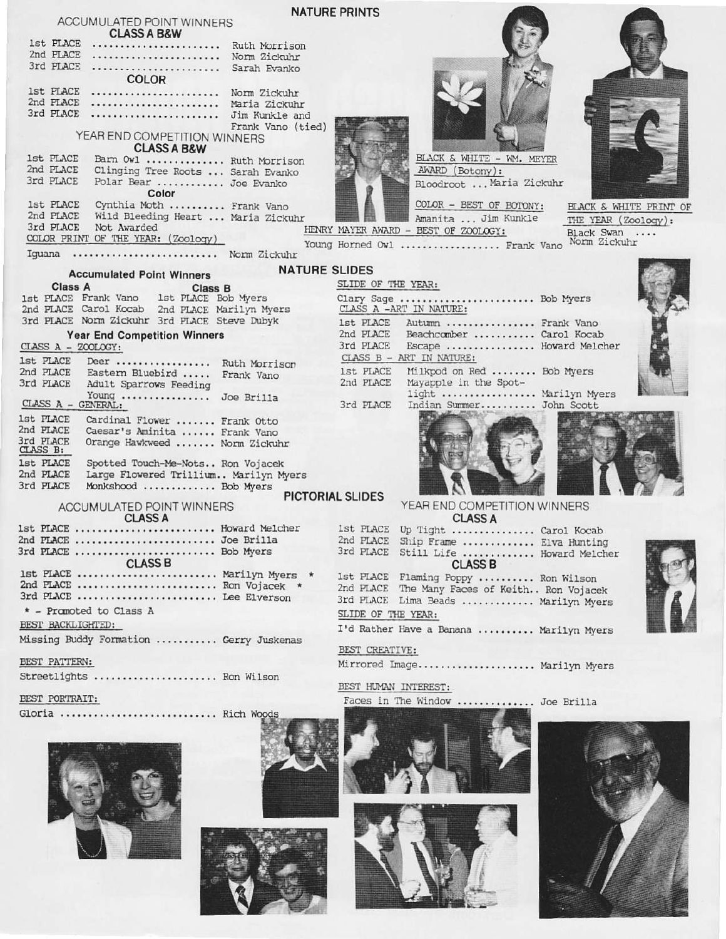